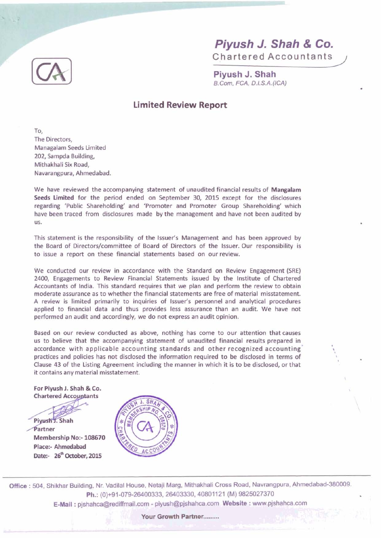

Piyush J. Shah B.Com. FCA, D.I.S.A.(ICA)

## **Limited Review Report**

TO, The Directors. Managalam Seeds Limited 202, Sampda Building, Mithakhali Six Road, Navarangpura, Ahmedabad.

We have reviewed the accompanying statement of unaudited financial results of Mangalam Seeds Urnited for the period ended on September 30, 2015 except for the disclosures regarding 'Public Shareholding' and 'Promoter and Promoter Group Shareholding' which have been traced from disclosures made by the management and have not been audited by US.

This statement is the responsibility of the lssuer's Management and has been approved by the Board of Directors/committee of Board of Directors of the Issuer. Our responsibility is to issue a report on these financial statements based on ourreview.

We conducted our review in accordance with the Standard on Review Engagement (SRE) 2400, Engagements to Review Financial Statements issued by the Institute of Chartered Accountants of India. This standard requires that we plan and perform the review to obtain moderate assurance as to whether the financial statements are free of material misstatement. A review is limited primarily to inquiries of Issuer's personnel and analytical procedures applied to financial data and thus provides less assurance than an audit We have not performed an audit and accordingly, we do not express an audit opinion.

Based on our review conducted as above, nothing has come to our attention that causes us to believe that the accompanying statement of unaudited financial results prepared in accordance with applicable accounting standards and other recognized accounting' practices and policies has not disclosed the information required to be disclosed in terms of Clause 43 of the Listing Agreement including the manner in which it is to be disclosed, or that it contains any material misstatement.

For Piyush **1.** Shah & Co.

Pivush J. Shah Partner Membership No:- 108670 Place:- Ahmedabad

Date:- 26<sup>th</sup> October, 2015

SН

**799 Coffice**: 504, Shikhar Building, Nr. Vadilal House, Netaji Marg, Mithakhali Cross Road, Navrangpura, Ahmedabad-380009.<br>**Ph.:** (0)+91-079-26400333, 26403330, 40801121 (M) 9825027370 E-Mail: pjshahca@rediffmail.com - piyush@pjshahca.com Website: www.pjshahca.com

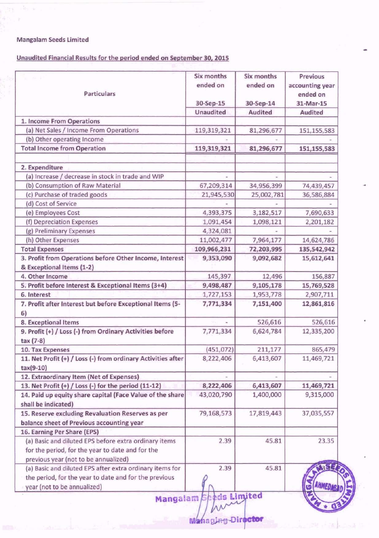## **Mangalam Seeds Limited**

Jew.

## Unaudited Financial Results for the period ended on September 30, 2015

| Particulars                                                                                                                                                                              | Six months<br>ended on<br>30-Sep-15 | <b>Six months</b><br>ended on<br>30-Sep-14 | <b>Previous</b><br>accounting year<br>ended on<br>31-Mar-15 |
|------------------------------------------------------------------------------------------------------------------------------------------------------------------------------------------|-------------------------------------|--------------------------------------------|-------------------------------------------------------------|
|                                                                                                                                                                                          | <b>Unaudited</b>                    | <b>Audited</b>                             | <b>Audited</b>                                              |
| 1. Income From Operations                                                                                                                                                                |                                     |                                            |                                                             |
| (a) Net Sales / Income From Operations                                                                                                                                                   | 119,319,321                         | 81,296,677                                 | 151, 155, 583                                               |
| (b) Other operating Income                                                                                                                                                               |                                     |                                            |                                                             |
| <b>Total Income from Operation</b>                                                                                                                                                       | 119,319,321                         | 81,296,677                                 | 151,155,583                                                 |
| 2. Expenditure                                                                                                                                                                           |                                     |                                            |                                                             |
| (a) Increase / decrease in stock in trade and WIP                                                                                                                                        |                                     |                                            |                                                             |
| (b) Consumption of Raw Material                                                                                                                                                          | 67,209,314                          | 34,956,399                                 | 74,439,457                                                  |
| (c) Purchase of traded goods                                                                                                                                                             | 21,945,530                          | 25,002,781                                 | 36,586,884                                                  |
| (d) Cost of Service                                                                                                                                                                      |                                     |                                            |                                                             |
| (e) Employees Cost                                                                                                                                                                       | 4,393,375                           | 3,182,517                                  | 7,690,633                                                   |
| (f) Depreciation Expenses                                                                                                                                                                | 1,091,454                           | 1,098,121                                  | 2,201,182                                                   |
| (g) Preliminary Expenses                                                                                                                                                                 | 4,324,081                           |                                            |                                                             |
| (h) Other Expenses                                                                                                                                                                       | 11,002,477                          | 7,964,177                                  | 14,624,786                                                  |
| <b>Total Expenses</b>                                                                                                                                                                    | 109,966,231                         | 72,203,995                                 | 135,542,942                                                 |
| 3. Profit from Operations before Other Income, Interest<br>& Exceptional Items (1-2)                                                                                                     | 9,353,090                           | 9,092,682                                  | 15,612,641                                                  |
| 4. Other Income                                                                                                                                                                          | 145,397                             | 12,496                                     | 156,887                                                     |
| 5. Profit before Interest & Exceptional Items (3+4)                                                                                                                                      | 9,498,487                           | 9,105,178                                  | 15,769,528                                                  |
| 6. Interest                                                                                                                                                                              | 1,727,153                           | 1,953,778                                  | 2,907,711                                                   |
| 7. Profit after Interest but before Exceptional Items (5-<br>6)                                                                                                                          | 7,771,334                           | 7,151,400                                  | 12,861,816                                                  |
| 8. Exceptional Items                                                                                                                                                                     |                                     | 526,616                                    | 526,616                                                     |
| 9. Profit (+) / Loss (-) from Ordinary Activities before<br>tax (7-8)                                                                                                                    | 7,771,334                           | 6,624,784                                  | 12,335,200                                                  |
| 10. Tax Expenses                                                                                                                                                                         | (451, 072)                          | 211,177                                    | 865,479                                                     |
| 11. Net Profit (+) / Loss (-) from ordinary Activities after<br>$tax(9-10)$                                                                                                              | 8,222,406                           | 6,413,607                                  | 11,469,721                                                  |
| 12. Extraordinary Item (Net of Expenses)                                                                                                                                                 |                                     |                                            |                                                             |
| 13. Net Profit (+) / Loss (-) for the period (11-12)                                                                                                                                     | 8,222,406                           | 6,413,607                                  | 11,469,721                                                  |
| 14. Paid up equity share capital (Face Value of the share<br>shall be indicated)                                                                                                         | 43,020,790                          | 1,400,000                                  | 9,315,000                                                   |
| 15. Reserve excluding Revaluation Reserves as per<br>balance sheet of Previous accounting year                                                                                           | 79,168,573                          | 17,819,443                                 | 37,035,557                                                  |
| 16. Earning Per Share (EPS)                                                                                                                                                              |                                     |                                            |                                                             |
| (a) Basic and diluted EPS before extra ordinary items<br>for the period, for the year to date and for the                                                                                | 2.39                                | 45.81                                      | 23.35                                                       |
| previous year (not to be annualized)<br>(a) Basic and diluted EPS after extra ordinary items for<br>the period, for the year to date and for the previous<br>year (not to be annualized) | 2.39                                | 45.81                                      | <b>AHMED</b>                                                |

**Director Maha**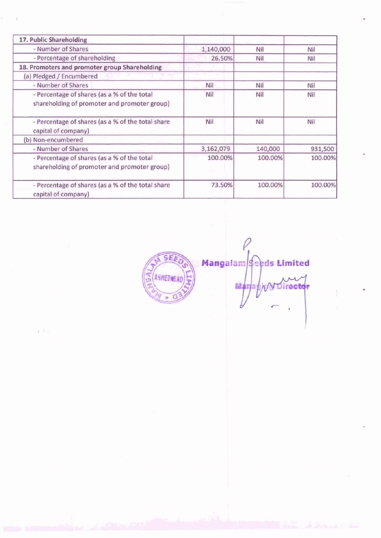| 17. Public Shareholding                                                                     |           |         |         |
|---------------------------------------------------------------------------------------------|-----------|---------|---------|
| - Number of Shares                                                                          | 1,140,000 | Nil     | Nil     |
| - Percentage of shareholding                                                                | 26.50%    | Nil     | Nil     |
| 18. Promoters and promoter group Shareholding                                               |           |         |         |
| (a) Pledged / Encumbered                                                                    |           |         |         |
| - Number of Shares                                                                          | Nil       | Nil     | Nil     |
| - Percentage of shares (as a % of the total<br>shareholding of promoter and promoter group) | Nil       | Nil     | Nil     |
| - Percentage of shares (as a % of the total share<br>capital of company)                    | Nil       | Nil     | Nil     |
| (b) Non-encumbered                                                                          |           |         |         |
| - Number of Shares                                                                          | 3,162,079 | 140,000 | 931,500 |
| - Percentage of shares (as a % of the total<br>shareholding of promoter and promoter group) | 100.00%   | 100.00% | 100.00% |
| - Percentage of shares (as a % of the total share<br>capital of company)                    | 73.50%    | 100.00% | 100.00% |

a Tho

**SEA** Mangalam **Seeds Limited** AHMEDABAD Director Mariag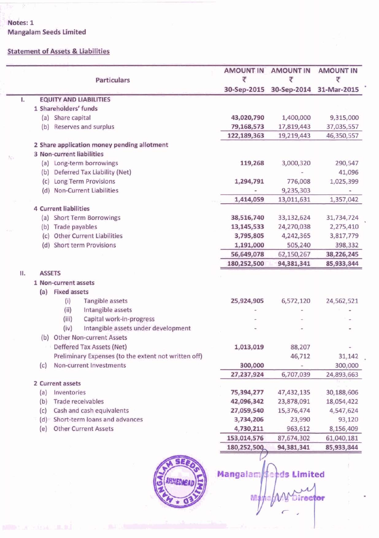**Notes: 1** Mangalam Seeds Limited

## Statement of Assets & Liabilities

|    |                  | <b>Particulars</b>           |                                                      | <b>AMOUNT IN</b><br>₹ | <b>AMOUNT IN</b><br>₹ | <b>AMOUNT IN</b><br>₹ |
|----|------------------|------------------------------|------------------------------------------------------|-----------------------|-----------------------|-----------------------|
|    |                  |                              |                                                      | 30-Sep-2015           | 30-Sep-2014           | 31-Mar-2015           |
| L  |                  |                              | <b>EQUITY AND LIABILITIES</b>                        |                       |                       |                       |
|    |                  | 1 Shareholders' funds        |                                                      |                       |                       |                       |
|    |                  | (a) Share capital            |                                                      | 43,020,790            | 1,400,000             | 9,315,000             |
|    |                  |                              | (b) Reserves and surplus                             | 79,168,573            | 17,819,443            | 37,035,557            |
|    |                  |                              |                                                      | 122,189,363           | 19,219,443            | 46,350,557            |
|    |                  |                              | 2 Share application money pending allotment          |                       |                       |                       |
| Nb |                  |                              | <b>3 Non-current liabilities</b>                     |                       |                       |                       |
|    |                  |                              | (a) Long-term borrowings                             | 119,268               | 3,000,320             | 290,547               |
|    |                  |                              | (b) Deferred Tax Liability (Net)                     |                       |                       | 41,096                |
|    |                  |                              | (c) Long Term Provisions                             | 1,294,791             | 776,008               | 1,025,399             |
|    |                  |                              | (d) Non-Current Liabilities                          |                       | 9,235,303             |                       |
|    |                  |                              |                                                      | 1,414,059             | 13,011,631            | 1,357,042             |
|    |                  | <b>4 Current liabilities</b> |                                                      |                       |                       |                       |
|    |                  |                              | (a) Short Term Borrowings                            | 38,516,740            | 33,132,624            | 31,734,724            |
|    |                  | (b) Trade payables           |                                                      | 13, 145, 533          | 24,270,038            | 2,275,410             |
|    | (c)              |                              | <b>Other Current Liabilities</b>                     | 3,795,805             | 4,242,365             | 3,817,779             |
|    |                  |                              | (d) Short term Provisions                            | 1,191,000             | 505,240               | 398,332               |
|    |                  |                              |                                                      | 56,649,078            | 62,150,267            | 38,226,245            |
|    |                  |                              |                                                      | 180,252,500           | 94,381,341            | 85,933,344            |
| П. | <b>ASSETS</b>    |                              |                                                      |                       |                       |                       |
|    |                  | 1 Non-current assets         |                                                      |                       |                       |                       |
|    | (a)              | <b>Fixed assets</b>          |                                                      |                       |                       |                       |
|    |                  | (i)                          | Tangible assets                                      | 25,924,905            | 6,572,120             | 24,562,521            |
|    |                  | (iii)                        | Intangible assets                                    |                       |                       |                       |
|    |                  | (iii)                        | Capital work-in-progress                             |                       |                       |                       |
|    |                  | (iv)                         | Intangible assets under development                  |                       |                       |                       |
|    | (b)              |                              | <b>Other Non-current Assets</b>                      |                       |                       |                       |
|    |                  |                              | Deffered Tax Assets (Net)                            | 1,013,019             | 88,207                |                       |
|    |                  |                              | Preliminary Expenses (to the extent not written off) |                       | 46,712                | 31,142                |
|    | (c)              |                              | Non-current Investments                              | 300,000               |                       | 300,000               |
|    |                  |                              |                                                      | 27,237,924            | 6,707,039             | 24,893,663            |
|    | 2 Current assets |                              |                                                      |                       |                       |                       |
|    | (a)              | Inventories                  |                                                      | 75,394,277            | 47,432,135            | 30,188,606            |
|    | (b)              |                              | <b>Trade receivables</b>                             | 42,096,342            | 23,878,091            | 18,054,422            |
|    | (c)              |                              | Cash and cash equivalents                            | 27,059,540            | 15,376,474            | 4,547,624             |
|    | (d)              |                              | Short-term loans and advances                        | 3,734,206             | 23,990                | 93,120                |
|    | (e)              |                              | <b>Other Current Assets</b>                          | 4,730,211             | 963,612               | 8,156,409             |
|    |                  |                              |                                                      | 153,014,576           | 87,674,302            | 61,040,181            |
|    |                  |                              |                                                      | 180,252,500           | 94,381,341            | 85,933,344            |
|    |                  |                              |                                                      |                       |                       |                       |



Mangalam **<u>feeds Limited</u>** an<sub>4</sub> Director